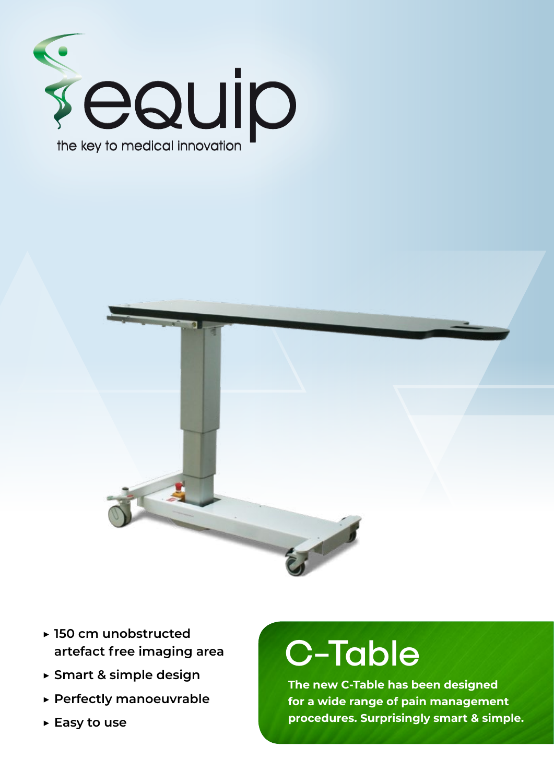



- **▶ 150 cm unobstructed artefact free imaging area**
- **▶ Smart & simple design**
- **▶ Perfectly manoeuvrable**
- **▶ Easy to use**

## C-Table

**The new C-Table has been designed for a wide range of pain management procedures. Surprisingly smart & simple.**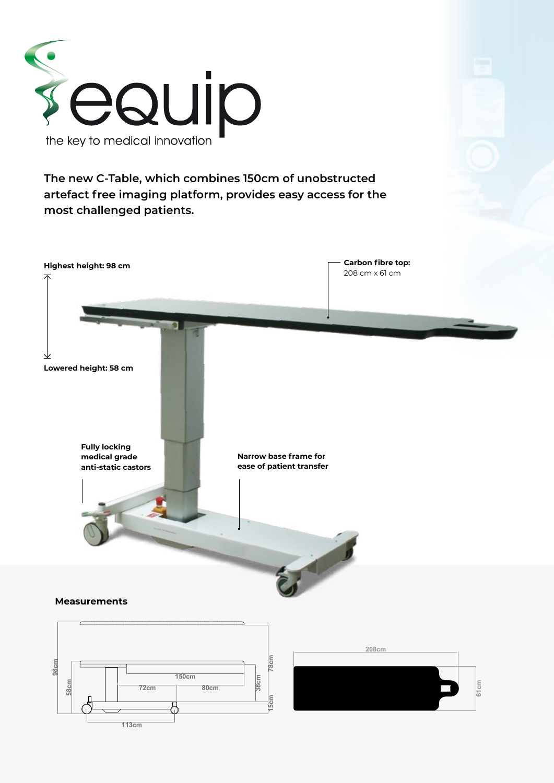

**The new C-Table, which combines 150cm of unobstructed artefact free imaging platform, provides easy access for the most challenged patients.**



**Measurements**

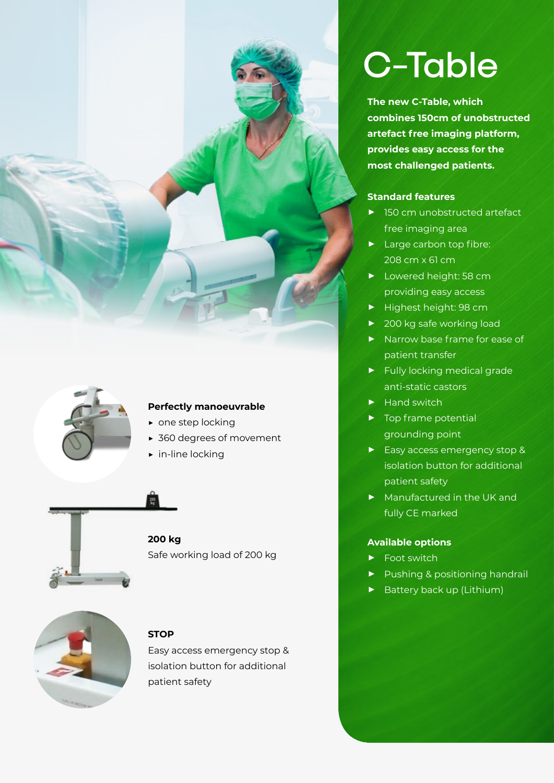



### **Perfectly manoeuvrable**

- **▶** one step locking
- **▶** 360 degrees of movement
- **▶** in-line locking



**200 kg** Safe working load of 200 kg



### **STOP**

Easy access emergency stop & isolation button for additional patient safety

# C-Table

**The new C-Table, which combines 150cm of unobstructed artefact free imaging platform, provides easy access for the most challenged patients.**

#### **Standard features**

- **▶** 150 cm unobstructed artefact free imaging area
- **▶** Large carbon top fibre: 208 cm x 61 cm
- **▶** Lowered height: 58 cm providing easy access
- **▶** Highest height: 98 cm
- **▶** 200 kg safe working load
- **▶** Narrow base frame for ease of patient transfer
- **▶** Fully locking medical grade anti-static castors
- **▶** Hand switch
- **▶** Top frame potential grounding point
- **▶** Easy access emergency stop & isolation button for additional patient safety
- **▶** Manufactured in the UK and fully CE marked

#### **Available options**

- **▶** Foot switch
- **▶** Pushing & positioning handrail
- **▶** Battery back up (Lithium)